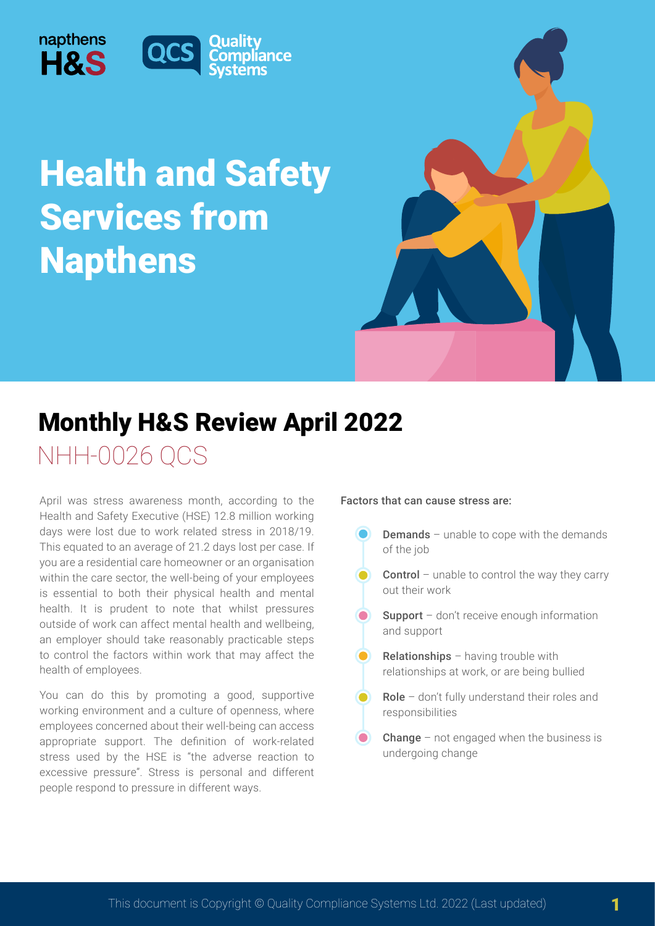

napthens



# NHH-0026 QCS Monthly H&S Review April 2022

April was stress awareness month, according to the Health and Safety Executive (HSE) 12.8 million working days were lost due to work related stress in 2018/19. This equated to an average of 21.2 days lost per case. If you are a residential care homeowner or an organisation within the care sector, the well-being of your employees is essential to both their physical health and mental health. It is prudent to note that whilst pressures outside of work can affect mental health and wellbeing, an employer should take reasonably practicable steps to control the factors within work that may affect the health of employees.

You can do this by promoting a good, supportive working environment and a culture of openness, where employees concerned about their well-being can access appropriate support. The definition of work-related stress used by the HSE is "the adverse reaction to excessive pressure". Stress is personal and different people respond to pressure in different ways.

#### Factors that can cause stress are:

- Demands unable to cope with the demands of the job
- Control unable to control the way they carry  $\bullet$ out their work
- Support don't receive enough information and support
- $\bullet$ Relationships – having trouble with relationships at work, or are being bullied
	- Role don't fully understand their roles and responsibilities
- **Change** not engaged when the business is undergoing change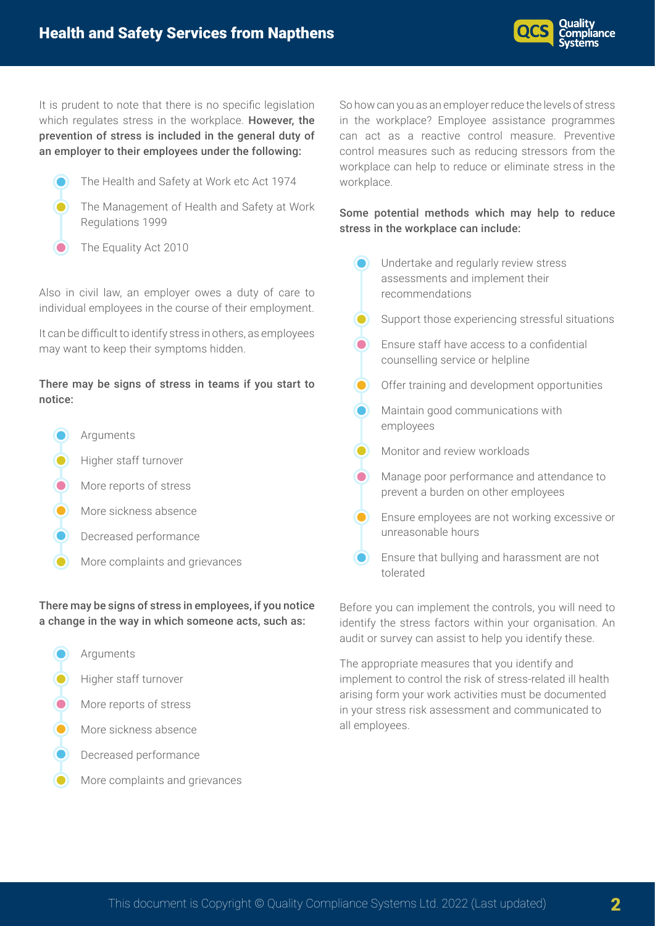

It is prudent to note that there is no specific legislation which regulates stress in the workplace. However, the prevention of stress is included in the general duty of an employer to their employees under the following:

- The Health and Safety at Work etc Act 1974
- The Management of Health and Safety at Work Regulations 1999
- The Equality Act 2010  $\bullet$

Also in civil law, an employer owes a duty of care to individual employees in the course of their employment.

It can be difficult to identify stress in others, as employees may want to keep their symptoms hidden.

## There may be signs of stress in teams if you start to notice:

- Arguments Higher staff turnover
- More reports of stress
- More sickness absence
- Decreased performance
- More complaints and grievances

There may be signs of stress in employees, if you notice a change in the way in which someone acts, such as:

- **Arguments** Higher staff turnover
- **O** More reports of stress
- More sickness absence
- Decreased performance
- More complaints and grievances

So how can you as an employer reduce the levels of stress in the workplace? Employee assistance programmes can act as a reactive control measure. Preventive control measures such as reducing stressors from the workplace can help to reduce or eliminate stress in the workplace.

## Some potential methods which may help to reduce stress in the workplace can include:

Undertake and regularly review stress assessments and implement their recommendations Support those experiencing stressful situations Ensure staff have access to a confidential  $\bullet$ counselling service or helpline  $\bullet$ Offer training and development opportunities Maintain good communications with employees **O** Monitor and review workloads  $\bullet$ Manage poor performance and attendance to prevent a burden on other employees **C** Ensure employees are not working excessive or unreasonable hours **C** Ensure that bullying and harassment are not tolerated

Before you can implement the controls, you will need to identify the stress factors within your organisation. An audit or survey can assist to help you identify these.

The appropriate measures that you identify and implement to control the risk of stress-related ill health arising form your work activities must be documented in your stress risk assessment and communicated to all employees.